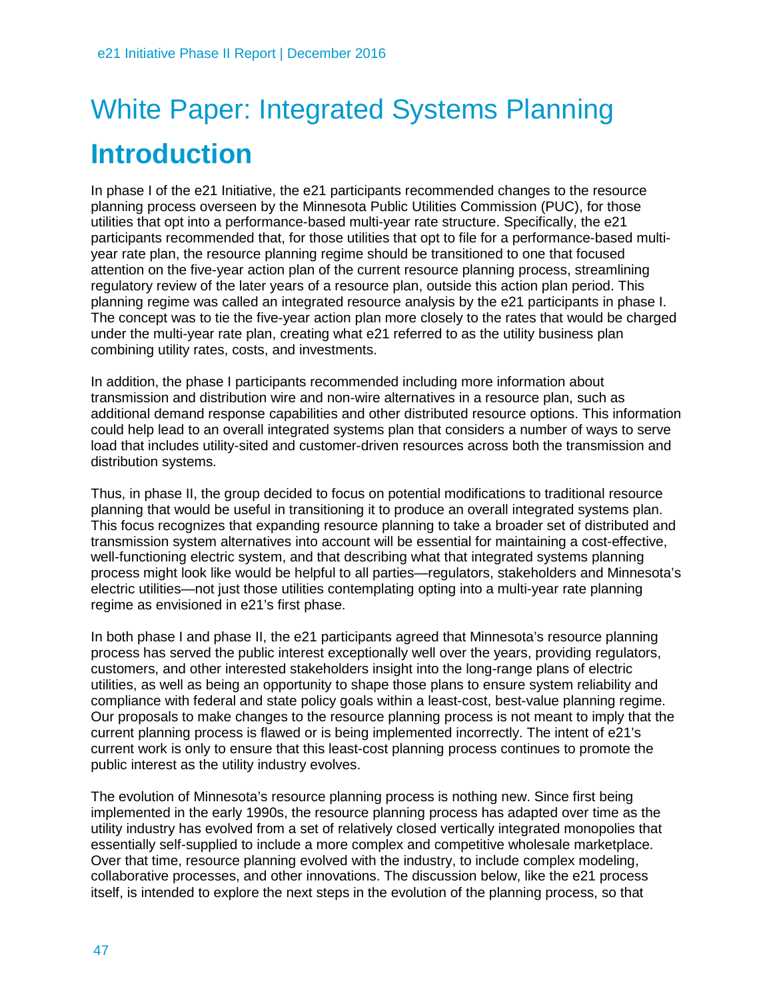# White Paper: Integrated Systems Planning **Introduction**

In phase I of the e21 Initiative, the e21 participants recommended changes to the resource planning process overseen by the Minnesota Public Utilities Commission (PUC), for those utilities that opt into a performance-based multi-year rate structure. Specifically, the e21 participants recommended that, for those utilities that opt to file for a performance-based multiyear rate plan, the resource planning regime should be transitioned to one that focused attention on the five-year action plan of the current resource planning process, streamlining regulatory review of the later years of a resource plan, outside this action plan period. This planning regime was called an integrated resource analysis by the e21 participants in phase I. The concept was to tie the five-year action plan more closely to the rates that would be charged under the multi-year rate plan, creating what e21 referred to as the utility business plan combining utility rates, costs, and investments.

In addition, the phase I participants recommended including more information about transmission and distribution wire and non-wire alternatives in a resource plan, such as additional demand response capabilities and other distributed resource options. This information could help lead to an overall integrated systems plan that considers a number of ways to serve load that includes utility-sited and customer-driven resources across both the transmission and distribution systems.

Thus, in phase II, the group decided to focus on potential modifications to traditional resource planning that would be useful in transitioning it to produce an overall integrated systems plan. This focus recognizes that expanding resource planning to take a broader set of distributed and transmission system alternatives into account will be essential for maintaining a cost-effective, well-functioning electric system, and that describing what that integrated systems planning process might look like would be helpful to all parties—regulators, stakeholders and Minnesota's electric utilities—not just those utilities contemplating opting into a multi-year rate planning regime as envisioned in e21's first phase.

In both phase I and phase II, the e21 participants agreed that Minnesota's resource planning process has served the public interest exceptionally well over the years, providing regulators, customers, and other interested stakeholders insight into the long-range plans of electric utilities, as well as being an opportunity to shape those plans to ensure system reliability and compliance with federal and state policy goals within a least-cost, best-value planning regime. Our proposals to make changes to the resource planning process is not meant to imply that the current planning process is flawed or is being implemented incorrectly. The intent of e21's current work is only to ensure that this least-cost planning process continues to promote the public interest as the utility industry evolves.

The evolution of Minnesota's resource planning process is nothing new. Since first being implemented in the early 1990s, the resource planning process has adapted over time as the utility industry has evolved from a set of relatively closed vertically integrated monopolies that essentially self-supplied to include a more complex and competitive wholesale marketplace. Over that time, resource planning evolved with the industry, to include complex modeling, collaborative processes, and other innovations. The discussion below, like the e21 process itself, is intended to explore the next steps in the evolution of the planning process, so that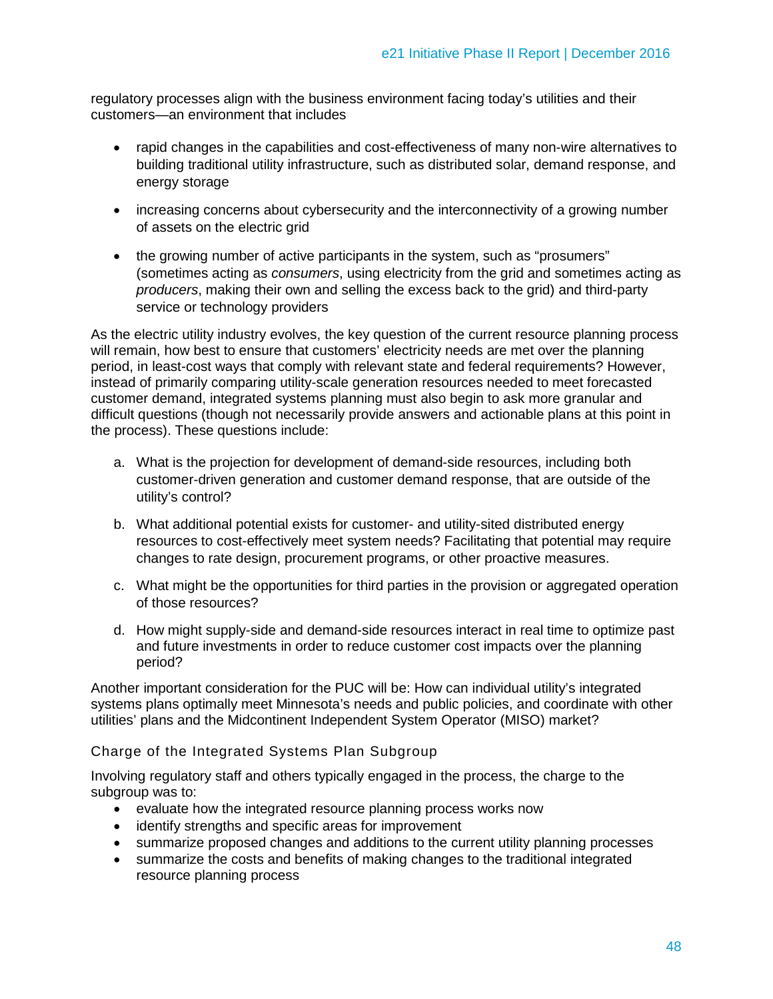regulatory processes align with the business environment facing today's utilities and their customers—an environment that includes

- rapid changes in the capabilities and cost-effectiveness of many non-wire alternatives to building traditional utility infrastructure, such as distributed solar, demand response, and energy storage
- increasing concerns about cybersecurity and the interconnectivity of a growing number of assets on the electric grid
- the growing number of active participants in the system, such as "prosumers" (sometimes acting as *consumers*, using electricity from the grid and sometimes acting as *producers*, making their own and selling the excess back to the grid) and third-party service or technology providers

As the electric utility industry evolves, the key question of the current resource planning process will remain, how best to ensure that customers' electricity needs are met over the planning period, in least-cost ways that comply with relevant state and federal requirements? However, instead of primarily comparing utility-scale generation resources needed to meet forecasted customer demand, integrated systems planning must also begin to ask more granular and difficult questions (though not necessarily provide answers and actionable plans at this point in the process). These questions include:

- a. What is the projection for development of demand-side resources, including both customer-driven generation and customer demand response, that are outside of the utility's control?
- b. What additional potential exists for customer- and utility-sited distributed energy resources to cost-effectively meet system needs? Facilitating that potential may require changes to rate design, procurement programs, or other proactive measures.
- c. What might be the opportunities for third parties in the provision or aggregated operation of those resources?
- d. How might supply-side and demand-side resources interact in real time to optimize past and future investments in order to reduce customer cost impacts over the planning period?

Another important consideration for the PUC will be: How can individual utility's integrated systems plans optimally meet Minnesota's needs and public policies, and coordinate with other utilities' plans and the Midcontinent Independent System Operator (MISO) market?

#### Charge of the Integrated Systems Plan Subgroup

Involving regulatory staff and others typically engaged in the process, the charge to the subgroup was to:

- evaluate how the integrated resource planning process works now
- identify strengths and specific areas for improvement
- summarize proposed changes and additions to the current utility planning processes
- summarize the costs and benefits of making changes to the traditional integrated resource planning process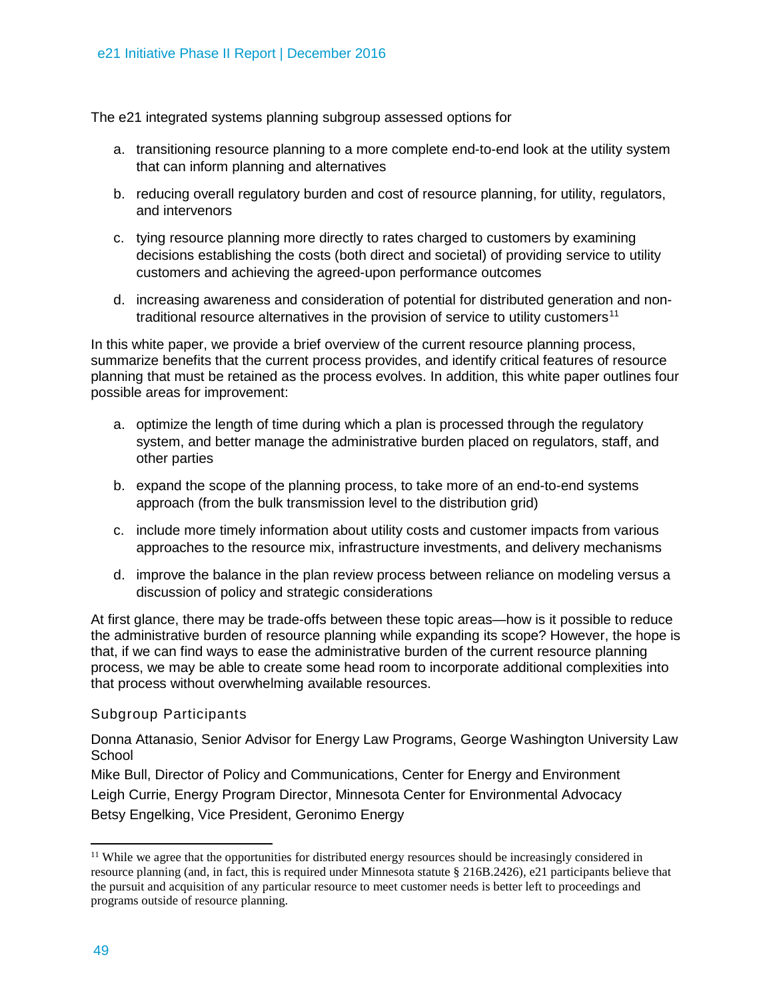The e21 integrated systems planning subgroup assessed options for

- a. transitioning resource planning to a more complete end-to-end look at the utility system that can inform planning and alternatives
- b. reducing overall regulatory burden and cost of resource planning, for utility, regulators, and intervenors
- c. tying resource planning more directly to rates charged to customers by examining decisions establishing the costs (both direct and societal) of providing service to utility customers and achieving the agreed-upon performance outcomes
- d. increasing awareness and consideration of potential for distributed generation and non-traditional resource alternatives in the provision of service to utility customers<sup>[11](#page-2-0)</sup>

In this white paper, we provide a brief overview of the current resource planning process, summarize benefits that the current process provides, and identify critical features of resource planning that must be retained as the process evolves. In addition, this white paper outlines four possible areas for improvement:

- a. optimize the length of time during which a plan is processed through the regulatory system, and better manage the administrative burden placed on regulators, staff, and other parties
- b. expand the scope of the planning process, to take more of an end-to-end systems approach (from the bulk transmission level to the distribution grid)
- c. include more timely information about utility costs and customer impacts from various approaches to the resource mix, infrastructure investments, and delivery mechanisms
- d. improve the balance in the plan review process between reliance on modeling versus a discussion of policy and strategic considerations

At first glance, there may be trade-offs between these topic areas—how is it possible to reduce the administrative burden of resource planning while expanding its scope? However, the hope is that, if we can find ways to ease the administrative burden of the current resource planning process, we may be able to create some head room to incorporate additional complexities into that process without overwhelming available resources.

#### Subgroup Participants

Donna Attanasio, Senior Advisor for Energy Law Programs, George Washington University Law **School** 

Mike Bull, Director of Policy and Communications, Center for Energy and Environment Leigh Currie, Energy Program Director, Minnesota Center for Environmental Advocacy Betsy Engelking, Vice President, Geronimo Energy

 $\overline{a}$ 

<span id="page-2-0"></span><sup>&</sup>lt;sup>11</sup> While we agree that the opportunities for distributed energy resources should be increasingly considered in resource planning (and, in fact, this is required under Minnesota statute § 216B.2426), e21 participants believe that the pursuit and acquisition of any particular resource to meet customer needs is better left to proceedings and programs outside of resource planning.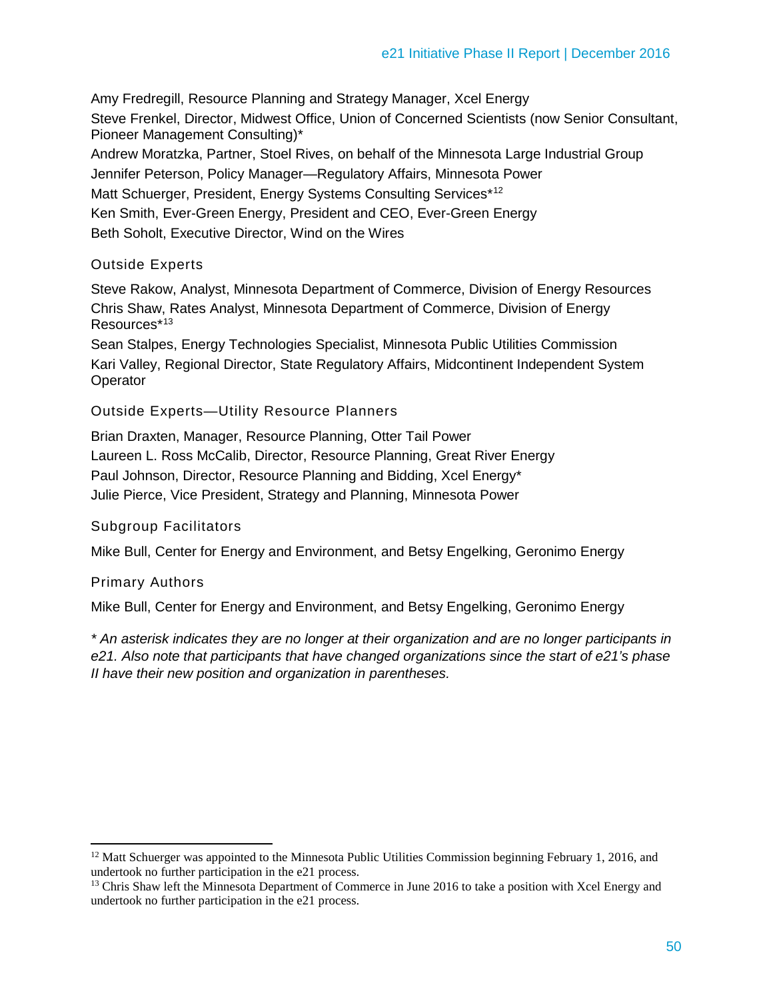Amy Fredregill, Resource Planning and Strategy Manager, Xcel Energy Steve Frenkel, Director, Midwest Office, Union of Concerned Scientists (now Senior Consultant, Pioneer Management Consulting)\* Andrew Moratzka, Partner, Stoel Rives, on behalf of the Minnesota Large Industrial Group Jennifer Peterson, Policy Manager—Regulatory Affairs, Minnesota Power Matt Schuerger, President, Energy Systems Consulting Services\*<sup>[12](#page-3-0)</sup>

Ken Smith, Ever-Green Energy, President and CEO, Ever-Green Energy

Beth Soholt, Executive Director, Wind on the Wires

#### Outside Experts

Steve Rakow, Analyst, Minnesota Department of Commerce, Division of Energy Resources Chris Shaw, Rates Analyst, Minnesota Department of Commerce, Division of Energy Resources\*[13](#page-3-1)

Sean Stalpes, Energy Technologies Specialist, Minnesota Public Utilities Commission Kari Valley, Regional Director, State Regulatory Affairs, Midcontinent Independent System **Operator** 

Outside Experts—Utility Resource Planners

Brian Draxten, Manager, Resource Planning, Otter Tail Power Laureen L. Ross McCalib, Director, Resource Planning, Great River Energy Paul Johnson, Director, Resource Planning and Bidding, Xcel Energy\* Julie Pierce, Vice President, Strategy and Planning, Minnesota Power

#### Subgroup Facilitators

Mike Bull, Center for Energy and Environment, and Betsy Engelking, Geronimo Energy

#### Primary Authors

 $\overline{a}$ 

Mike Bull, Center for Energy and Environment, and Betsy Engelking, Geronimo Energy

*\* An asterisk indicates they are no longer at their organization and are no longer participants in e21. Also note that participants that have changed organizations since the start of e21's phase II have their new position and organization in parentheses.*

<span id="page-3-0"></span> $12$  Matt Schuerger was appointed to the Minnesota Public Utilities Commission beginning February 1, 2016, and undertook no further participation in the e21 process.

<span id="page-3-1"></span><sup>&</sup>lt;sup>13</sup> Chris Shaw left the Minnesota Department of Commerce in June 2016 to take a position with Xcel Energy and undertook no further participation in the e21 process.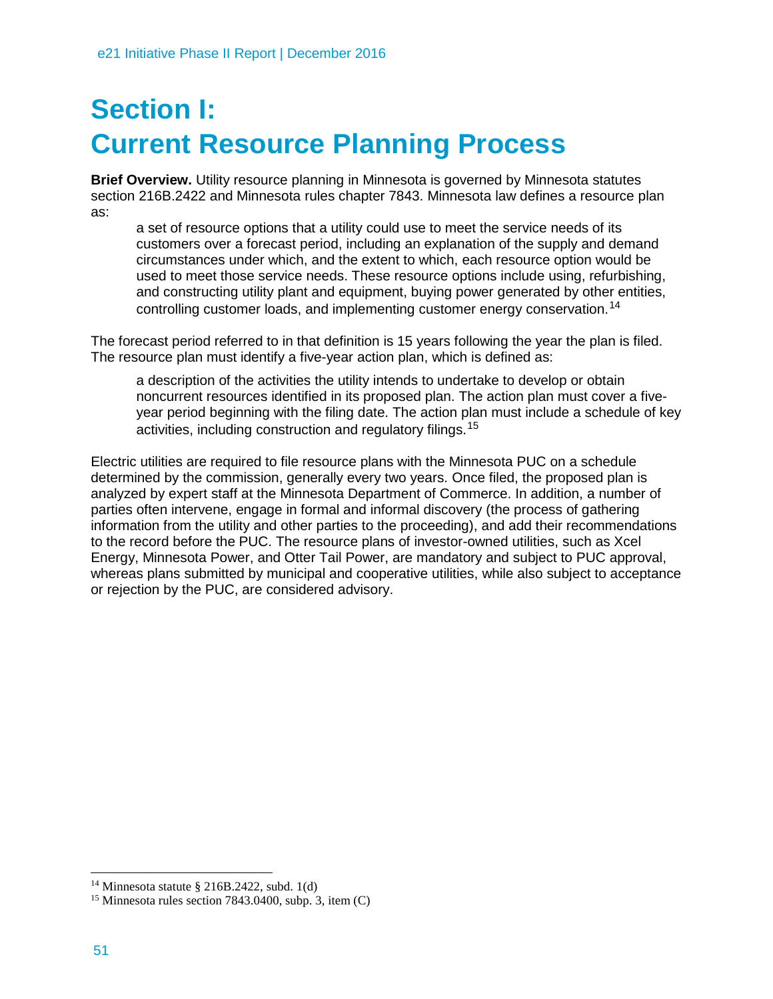## **Section I: Current Resource Planning Process**

**Brief Overview.** Utility resource planning in Minnesota is governed by Minnesota statutes section 216B.2422 and Minnesota rules chapter 7843. Minnesota law defines a resource plan as:

a set of resource options that a utility could use to meet the service needs of its customers over a forecast period, including an explanation of the supply and demand circumstances under which, and the extent to which, each resource option would be used to meet those service needs. These resource options include using, refurbishing, and constructing utility plant and equipment, buying power generated by other entities, controlling customer loads, and implementing customer energy conservation.[14](#page-4-0)

The forecast period referred to in that definition is 15 years following the year the plan is filed. The resource plan must identify a five-year action plan, which is defined as:

a description of the activities the utility intends to undertake to develop or obtain noncurrent resources identified in its proposed plan. The action plan must cover a fiveyear period beginning with the filing date. The action plan must include a schedule of key activities, including construction and regulatory filings.[15](#page-4-1)

Electric utilities are required to file resource plans with the Minnesota PUC on a schedule determined by the commission, generally every two years. Once filed, the proposed plan is analyzed by expert staff at the Minnesota Department of Commerce. In addition, a number of parties often intervene, engage in formal and informal discovery (the process of gathering information from the utility and other parties to the proceeding), and add their recommendations to the record before the PUC. The resource plans of investor-owned utilities, such as Xcel Energy, Minnesota Power, and Otter Tail Power, are mandatory and subject to PUC approval, whereas plans submitted by municipal and cooperative utilities, while also subject to acceptance or rejection by the PUC, are considered advisory.

 $\ddot{\phantom{a}}$ 

<span id="page-4-0"></span> $14$  Minnesota statute § 216B.2422, subd. 1(d)

<span id="page-4-1"></span><sup>&</sup>lt;sup>15</sup> Minnesota rules section 7843.0400, subp. 3, item  $(C)$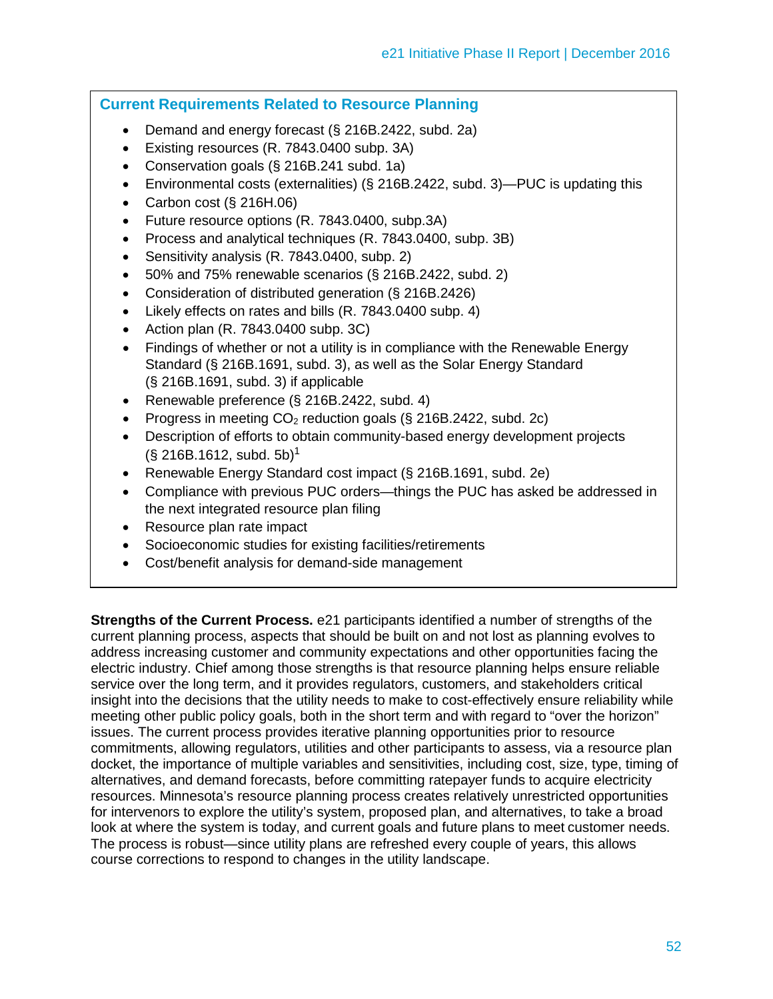#### **Current Requirements Related to Resource Planning**

- Demand and energy forecast (§ 216B.2422, subd. 2a)
- Existing resources (R. 7843.0400 subp. 3A)
- Conservation goals (§ 216B.241 subd. 1a)
- Environmental costs (externalities) (§ 216B.2422, subd. 3)—PUC is updating this
- Carbon cost (§ 216H.06)
- Future resource options (R. 7843.0400, subp.3A)
- Process and analytical techniques (R. 7843.0400, subp. 3B)
- Sensitivity analysis (R. 7843.0400, subp. 2)
- 50% and 75% renewable scenarios (§ 216B.2422, subd. 2)
- Consideration of distributed generation (§ 216B.2426)
- Likely effects on rates and bills (R. 7843.0400 subp. 4)
- Action plan (R. 7843.0400 subp. 3C)
- Findings of whether or not a utility is in compliance with the Renewable Energy Standard (§ 216B.1691, subd. 3), as well as the Solar Energy Standard (§ 216B.1691, subd. 3) if applicable
- Renewable preference (§ 216B.2422, subd. 4)
- Progress in meeting  $CO<sub>2</sub>$  reduction goals (§ 216B.2422, subd. 2c)
- Description of efforts to obtain community-based energy development projects  $(\S$  216B.1612, subd. 5b)<sup>1</sup>
- Renewable Energy Standard cost impact (§ 216B.1691, subd. 2e)
- Compliance with previous PUC orders—things the PUC has asked be addressed in the next integrated resource plan filing
- Resource plan rate impact
- Socioeconomic studies for existing facilities/retirements
- Cost/benefit analysis for demand-side management

**Strengths of the Current Process.** e21 participants identified a number of strengths of the current planning process, aspects that should be built on and not lost as planning evolves to address increasing customer and community expectations and other opportunities facing the electric industry. Chief among those strengths is that resource planning helps ensure reliable service over the long term, and it provides regulators, customers, and stakeholders critical insight into the decisions that the utility needs to make to cost-effectively ensure reliability while meeting other public policy goals, both in the short term and with regard to "over the horizon" issues. The current process provides iterative planning opportunities prior to resource commitments, allowing regulators, utilities and other participants to assess, via a resource plan docket, the importance of multiple variables and sensitivities, including cost, size, type, timing of alternatives, and demand forecasts, before committing ratepayer funds to acquire electricity resources. Minnesota's resource planning process creates relatively unrestricted opportunities for intervenors to explore the utility's system, proposed plan, and alternatives, to take a broad look at where the system is today, and current goals and future plans to meet customer needs. The process is robust—since utility plans are refreshed every couple of years, this allows course corrections to respond to changes in the utility landscape.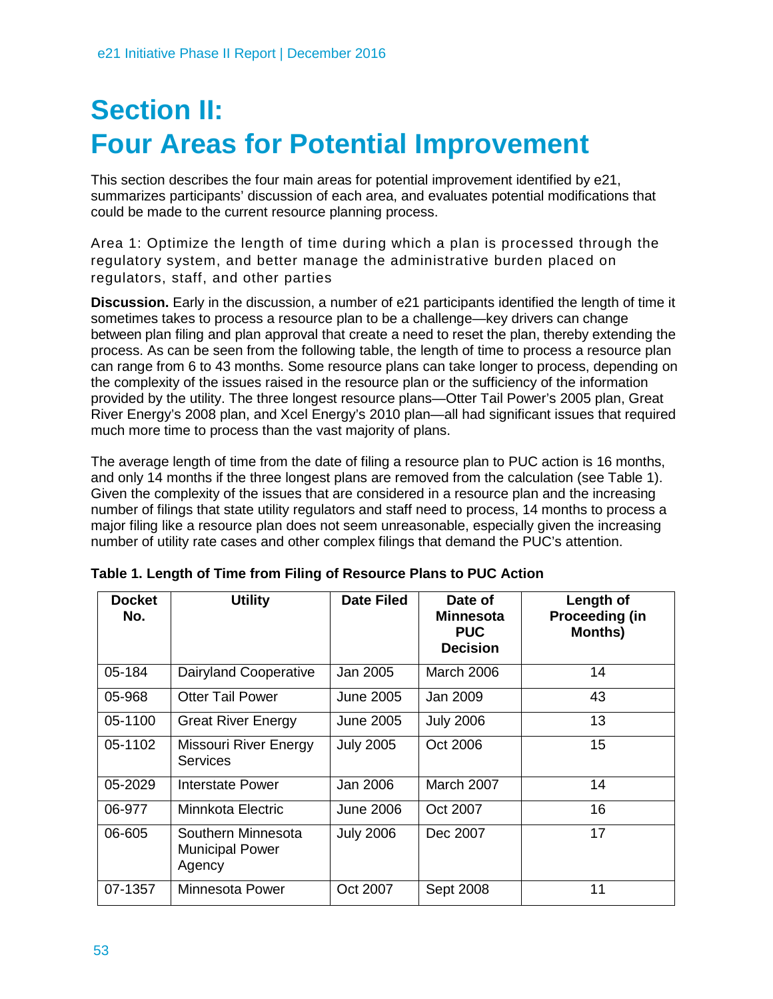## **Section II: Four Areas for Potential Improvement**

This section describes the four main areas for potential improvement identified by e21, summarizes participants' discussion of each area, and evaluates potential modifications that could be made to the current resource planning process.

Area 1: Optimize the length of time during which a plan is processed through the regulatory system, and better manage the administrative burden placed on regulators, staff, and other parties

**Discussion.** Early in the discussion, a number of e21 participants identified the length of time it sometimes takes to process a resource plan to be a challenge—key drivers can change between plan filing and plan approval that create a need to reset the plan, thereby extending the process. As can be seen from the following table, the length of time to process a resource plan can range from 6 to 43 months. Some resource plans can take longer to process, depending on the complexity of the issues raised in the resource plan or the sufficiency of the information provided by the utility. The three longest resource plans—Otter Tail Power's 2005 plan, Great River Energy's 2008 plan, and Xcel Energy's 2010 plan—all had significant issues that required much more time to process than the vast majority of plans.

The average length of time from the date of filing a resource plan to PUC action is 16 months, and only 14 months if the three longest plans are removed from the calculation (see Table 1). Given the complexity of the issues that are considered in a resource plan and the increasing number of filings that state utility regulators and staff need to process, 14 months to process a major filing like a resource plan does not seem unreasonable, especially given the increasing number of utility rate cases and other complex filings that demand the PUC's attention.

| <b>Docket</b><br>No. | <b>Utility</b>                                         | <b>Date Filed</b> | Date of<br><b>Minnesota</b><br><b>PUC</b><br><b>Decision</b> | Length of<br>Proceeding (in<br><b>Months)</b> |
|----------------------|--------------------------------------------------------|-------------------|--------------------------------------------------------------|-----------------------------------------------|
| 05-184               | Dairyland Cooperative                                  | Jan 2005          | March 2006                                                   | 14                                            |
| 05-968               | <b>Otter Tail Power</b>                                | June 2005         | Jan 2009                                                     | 43                                            |
| 05-1100              | <b>Great River Energy</b>                              | June 2005         | <b>July 2006</b>                                             | 13                                            |
| 05-1102              | Missouri River Energy<br><b>Services</b>               | <b>July 2005</b>  | Oct 2006                                                     | 15                                            |
| 05-2029              | Interstate Power                                       | Jan 2006          | March 2007                                                   | 14                                            |
| 06-977               | Minnkota Electric                                      | <b>June 2006</b>  | Oct 2007                                                     | 16                                            |
| 06-605               | Southern Minnesota<br><b>Municipal Power</b><br>Agency | <b>July 2006</b>  | Dec 2007                                                     | 17                                            |
| 07-1357              | Minnesota Power                                        | Oct 2007          | Sept 2008                                                    | 11                                            |

**Table 1. Length of Time from Filing of Resource Plans to PUC Action**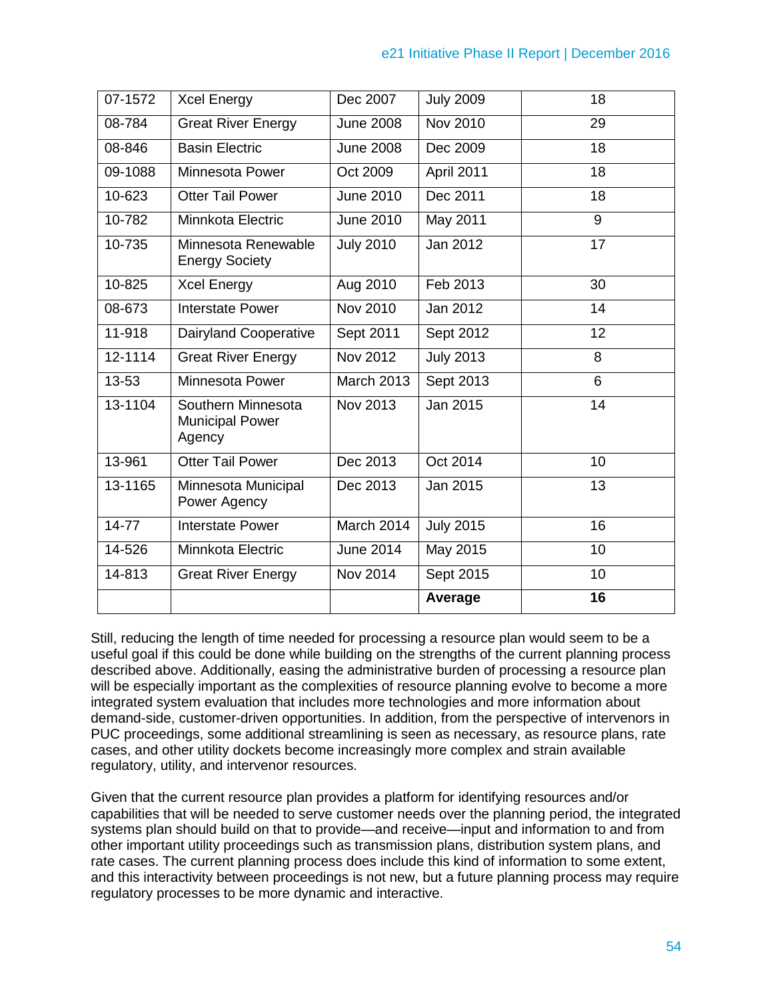| 07-1572     | <b>Xcel Energy</b>                                     | Dec 2007          | <b>July 2009</b> | 18 |
|-------------|--------------------------------------------------------|-------------------|------------------|----|
| 08-784      | <b>Great River Energy</b>                              | <b>June 2008</b>  | Nov 2010         | 29 |
| 08-846      | <b>Basin Electric</b>                                  | <b>June 2008</b>  | Dec 2009         | 18 |
| 09-1088     | <b>Minnesota Power</b>                                 | Oct 2009          | April 2011       | 18 |
| 10-623      | <b>Otter Tail Power</b>                                | <b>June 2010</b>  | Dec 2011         | 18 |
| 10-782      | Minnkota Electric                                      | June 2010         | May 2011         | 9  |
| 10-735      | Minnesota Renewable<br><b>Energy Society</b>           | <b>July 2010</b>  | Jan 2012         | 17 |
| 10-825      | <b>Xcel Energy</b>                                     | Aug 2010          | Feb 2013         | 30 |
| 08-673      | <b>Interstate Power</b>                                | Nov 2010          | Jan 2012         | 14 |
| 11-918      | <b>Dairyland Cooperative</b>                           | Sept 2011         | Sept 2012        | 12 |
| $12 - 1114$ | <b>Great River Energy</b>                              | <b>Nov 2012</b>   | <b>July 2013</b> | 8  |
| 13-53       | <b>Minnesota Power</b>                                 | <b>March 2013</b> | Sept 2013        | 6  |
| 13-1104     | Southern Minnesota<br><b>Municipal Power</b><br>Agency | Nov 2013          | Jan 2015         | 14 |
| 13-961      | <b>Otter Tail Power</b>                                | Dec 2013          | Oct 2014         | 10 |
| 13-1165     | Minnesota Municipal<br>Power Agency                    | Dec 2013          | Jan 2015         | 13 |
| $14 - 77$   | <b>Interstate Power</b>                                | March 2014        | <b>July 2015</b> | 16 |
| 14-526      | Minnkota Electric                                      | <b>June 2014</b>  | May 2015         | 10 |
| 14-813      | <b>Great River Energy</b>                              | Nov 2014          | Sept 2015        | 10 |
|             |                                                        |                   | Average          | 16 |

Still, reducing the length of time needed for processing a resource plan would seem to be a useful goal if this could be done while building on the strengths of the current planning process described above. Additionally, easing the administrative burden of processing a resource plan will be especially important as the complexities of resource planning evolve to become a more integrated system evaluation that includes more technologies and more information about demand-side, customer-driven opportunities. In addition, from the perspective of intervenors in PUC proceedings, some additional streamlining is seen as necessary, as resource plans, rate cases, and other utility dockets become increasingly more complex and strain available regulatory, utility, and intervenor resources.

Given that the current resource plan provides a platform for identifying resources and/or capabilities that will be needed to serve customer needs over the planning period, the integrated systems plan should build on that to provide—and receive—input and information to and from other important utility proceedings such as transmission plans, distribution system plans, and rate cases. The current planning process does include this kind of information to some extent, and this interactivity between proceedings is not new, but a future planning process may require regulatory processes to be more dynamic and interactive.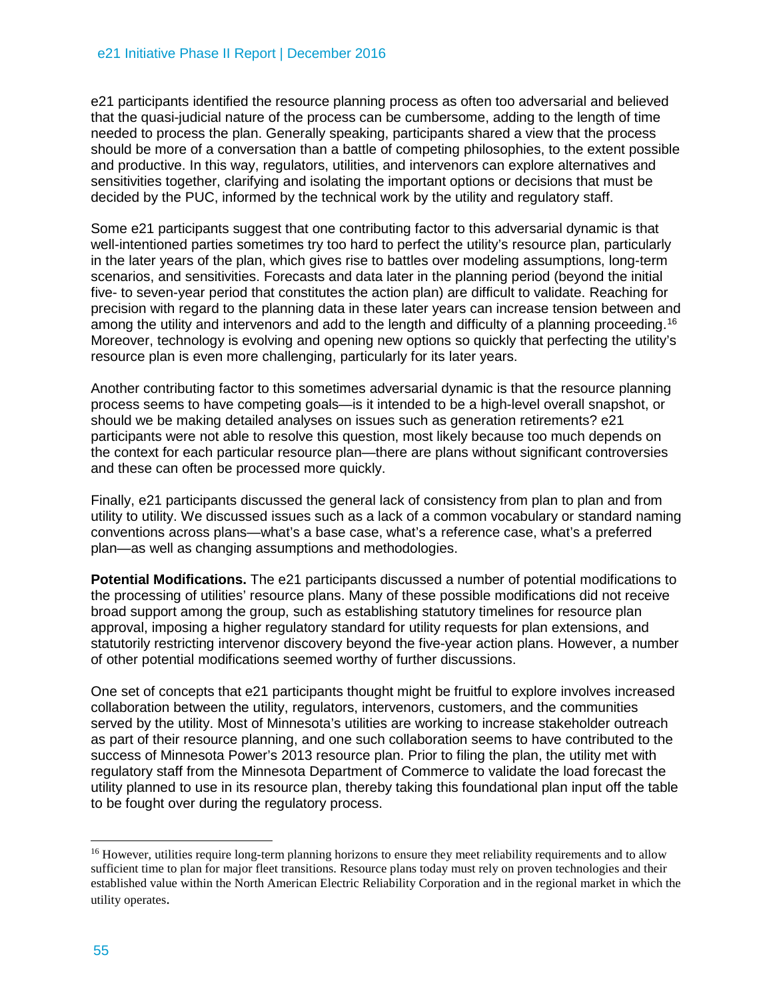e21 participants identified the resource planning process as often too adversarial and believed that the quasi-judicial nature of the process can be cumbersome, adding to the length of time needed to process the plan. Generally speaking, participants shared a view that the process should be more of a conversation than a battle of competing philosophies, to the extent possible and productive. In this way, regulators, utilities, and intervenors can explore alternatives and sensitivities together, clarifying and isolating the important options or decisions that must be decided by the PUC, informed by the technical work by the utility and regulatory staff.

Some e21 participants suggest that one contributing factor to this adversarial dynamic is that well-intentioned parties sometimes try too hard to perfect the utility's resource plan, particularly in the later years of the plan, which gives rise to battles over modeling assumptions, long-term scenarios, and sensitivities. Forecasts and data later in the planning period (beyond the initial five- to seven-year period that constitutes the action plan) are difficult to validate. Reaching for precision with regard to the planning data in these later years can increase tension between and among the utility and intervenors and add to the length and difficulty of a planning proceeding.<sup>[16](#page-8-0)</sup> Moreover, technology is evolving and opening new options so quickly that perfecting the utility's resource plan is even more challenging, particularly for its later years.

Another contributing factor to this sometimes adversarial dynamic is that the resource planning process seems to have competing goals—is it intended to be a high-level overall snapshot, or should we be making detailed analyses on issues such as generation retirements? e21 participants were not able to resolve this question, most likely because too much depends on the context for each particular resource plan—there are plans without significant controversies and these can often be processed more quickly.

Finally, e21 participants discussed the general lack of consistency from plan to plan and from utility to utility. We discussed issues such as a lack of a common vocabulary or standard naming conventions across plans—what's a base case, what's a reference case, what's a preferred plan—as well as changing assumptions and methodologies.

**Potential Modifications.** The e21 participants discussed a number of potential modifications to the processing of utilities' resource plans. Many of these possible modifications did not receive broad support among the group, such as establishing statutory timelines for resource plan approval, imposing a higher regulatory standard for utility requests for plan extensions, and statutorily restricting intervenor discovery beyond the five-year action plans. However, a number of other potential modifications seemed worthy of further discussions.

One set of concepts that e21 participants thought might be fruitful to explore involves increased collaboration between the utility, regulators, intervenors, customers, and the communities served by the utility. Most of Minnesota's utilities are working to increase stakeholder outreach as part of their resource planning, and one such collaboration seems to have contributed to the success of Minnesota Power's 2013 resource plan. Prior to filing the plan, the utility met with regulatory staff from the Minnesota Department of Commerce to validate the load forecast the utility planned to use in its resource plan, thereby taking this foundational plan input off the table to be fought over during the regulatory process.

 $\overline{a}$ 

<span id="page-8-0"></span><sup>&</sup>lt;sup>16</sup> However, utilities require long-term planning horizons to ensure they meet reliability requirements and to allow sufficient time to plan for major fleet transitions. Resource plans today must rely on proven technologies and their established value within the North American Electric Reliability Corporation and in the regional market in which the utility operates.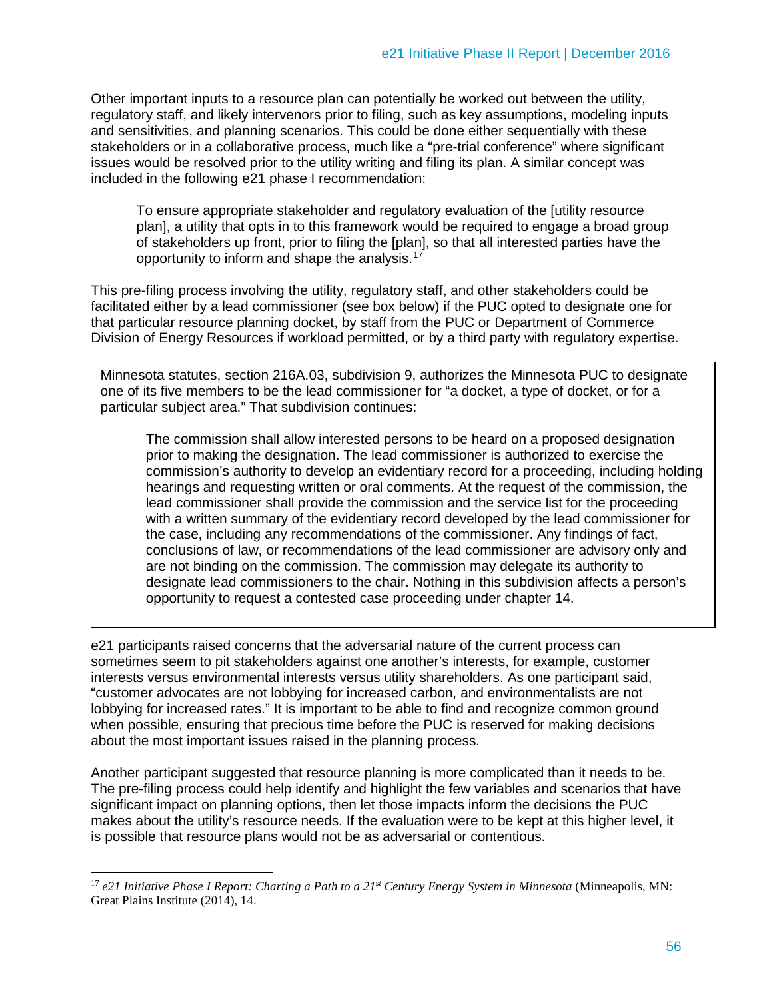Other important inputs to a resource plan can potentially be worked out between the utility, regulatory staff, and likely intervenors prior to filing, such as key assumptions, modeling inputs and sensitivities, and planning scenarios. This could be done either sequentially with these stakeholders or in a collaborative process, much like a "pre-trial conference" where significant issues would be resolved prior to the utility writing and filing its plan. A similar concept was included in the following e21 phase I recommendation:

To ensure appropriate stakeholder and regulatory evaluation of the [utility resource plan], a utility that opts in to this framework would be required to engage a broad group of stakeholders up front, prior to filing the [plan], so that all interested parties have the opportunity to inform and shape the analysis.[17](#page-9-0)

This pre-filing process involving the utility, regulatory staff, and other stakeholders could be facilitated either by a lead commissioner (see box below) if the PUC opted to designate one for that particular resource planning docket, by staff from the PUC or Department of Commerce Division of Energy Resources if workload permitted, or by a third party with regulatory expertise.

Minnesota statutes, section 216A.03, subdivision 9, authorizes the Minnesota PUC to designate one of its five members to be the lead commissioner for "a docket, a type of docket, or for a particular subject area." That subdivision continues:

The commission shall allow interested persons to be heard on a proposed designation prior to making the designation. The lead commissioner is authorized to exercise the commission's authority to develop an evidentiary record for a proceeding, including holding hearings and requesting written or oral comments. At the request of the commission, the lead commissioner shall provide the commission and the service list for the proceeding with a written summary of the evidentiary record developed by the lead commissioner for the case, including any recommendations of the commissioner. Any findings of fact, conclusions of law, or recommendations of the lead commissioner are advisory only and are not binding on the commission. The commission may delegate its authority to designate lead commissioners to the chair. Nothing in this subdivision affects a person's opportunity to request a contested case proceeding under chapter 14.

e21 participants raised concerns that the adversarial nature of the current process can sometimes seem to pit stakeholders against one another's interests, for example, customer interests versus environmental interests versus utility shareholders. As one participant said, "customer advocates are not lobbying for increased carbon, and environmentalists are not lobbying for increased rates." It is important to be able to find and recognize common ground when possible, ensuring that precious time before the PUC is reserved for making decisions about the most important issues raised in the planning process.

Another participant suggested that resource planning is more complicated than it needs to be. The pre-filing process could help identify and highlight the few variables and scenarios that have significant impact on planning options, then let those impacts inform the decisions the PUC makes about the utility's resource needs. If the evaluation were to be kept at this higher level, it is possible that resource plans would not be as adversarial or contentious.

<span id="page-9-0"></span> $\ddot{\phantom{a}}$ <sup>17</sup> e21 Initiative Phase I Report: Charting a Path to a 21<sup>st</sup> Century Energy System in Minnesota (Minneapolis, MN: Great Plains Institute (2014), 14.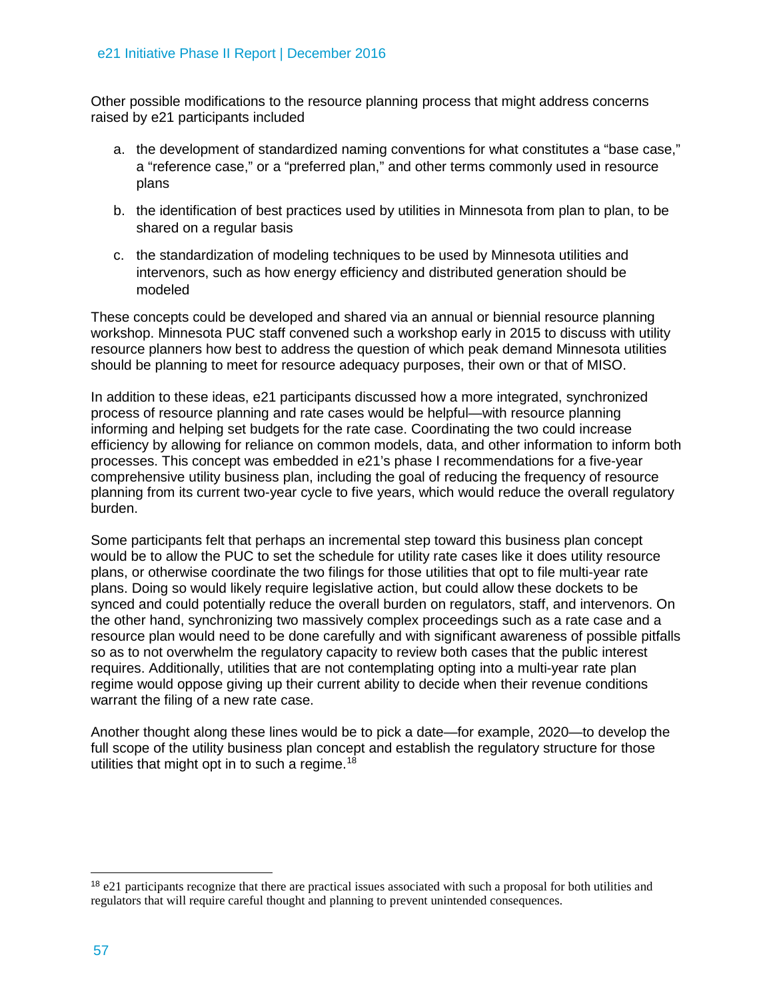Other possible modifications to the resource planning process that might address concerns raised by e21 participants included

- a. the development of standardized naming conventions for what constitutes a "base case," a "reference case," or a "preferred plan," and other terms commonly used in resource plans
- b. the identification of best practices used by utilities in Minnesota from plan to plan, to be shared on a regular basis
- c. the standardization of modeling techniques to be used by Minnesota utilities and intervenors, such as how energy efficiency and distributed generation should be modeled

These concepts could be developed and shared via an annual or biennial resource planning workshop. Minnesota PUC staff convened such a workshop early in 2015 to discuss with utility resource planners how best to address the question of which peak demand Minnesota utilities should be planning to meet for resource adequacy purposes, their own or that of MISO.

In addition to these ideas, e21 participants discussed how a more integrated, synchronized process of resource planning and rate cases would be helpful—with resource planning informing and helping set budgets for the rate case. Coordinating the two could increase efficiency by allowing for reliance on common models, data, and other information to inform both processes. This concept was embedded in e21's phase I recommendations for a five-year comprehensive utility business plan, including the goal of reducing the frequency of resource planning from its current two-year cycle to five years, which would reduce the overall regulatory burden.

Some participants felt that perhaps an incremental step toward this business plan concept would be to allow the PUC to set the schedule for utility rate cases like it does utility resource plans, or otherwise coordinate the two filings for those utilities that opt to file multi-year rate plans. Doing so would likely require legislative action, but could allow these dockets to be synced and could potentially reduce the overall burden on regulators, staff, and intervenors. On the other hand, synchronizing two massively complex proceedings such as a rate case and a resource plan would need to be done carefully and with significant awareness of possible pitfalls so as to not overwhelm the regulatory capacity to review both cases that the public interest requires. Additionally, utilities that are not contemplating opting into a multi-year rate plan regime would oppose giving up their current ability to decide when their revenue conditions warrant the filing of a new rate case.

Another thought along these lines would be to pick a date—for example, 2020—to develop the full scope of the utility business plan concept and establish the regulatory structure for those utilities that might opt in to such a regime.<sup>[18](#page-10-0)</sup>

<span id="page-10-0"></span> <sup>18</sup> e21 participants recognize that there are practical issues associated with such a proposal for both utilities and regulators that will require careful thought and planning to prevent unintended consequences.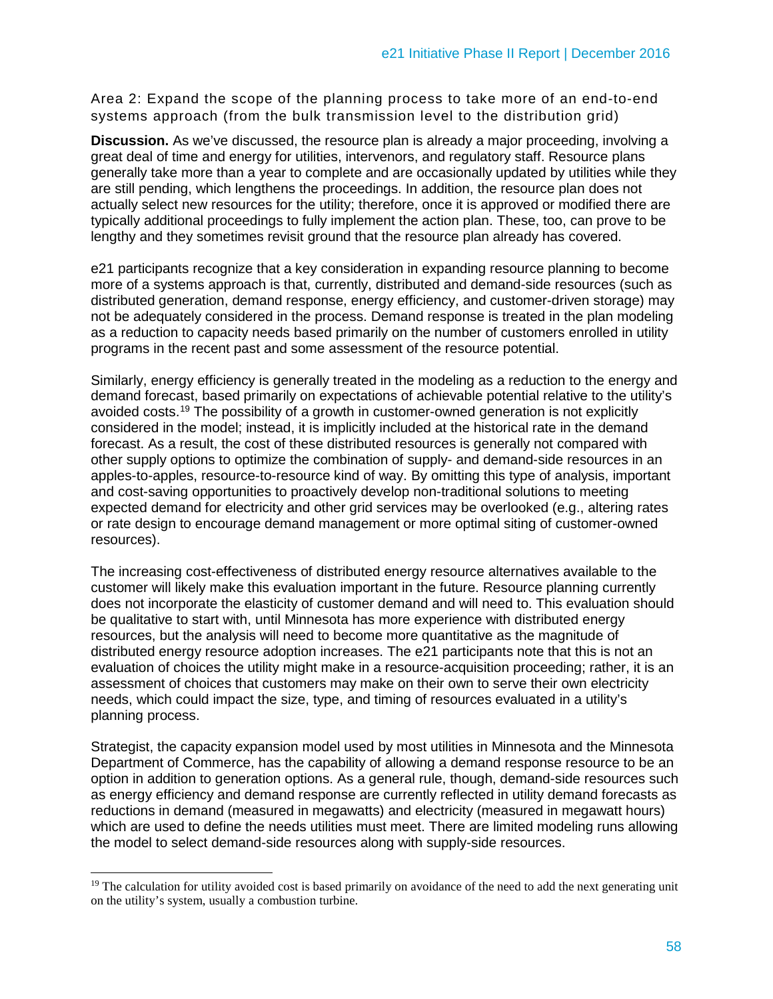Area 2: Expand the scope of the planning process to take more of an end-to-end systems approach (from the bulk transmission level to the distribution grid)

**Discussion.** As we've discussed, the resource plan is already a major proceeding, involving a great deal of time and energy for utilities, intervenors, and regulatory staff. Resource plans generally take more than a year to complete and are occasionally updated by utilities while they are still pending, which lengthens the proceedings. In addition, the resource plan does not actually select new resources for the utility; therefore, once it is approved or modified there are typically additional proceedings to fully implement the action plan. These, too, can prove to be lengthy and they sometimes revisit ground that the resource plan already has covered.

e21 participants recognize that a key consideration in expanding resource planning to become more of a systems approach is that, currently, distributed and demand-side resources (such as distributed generation, demand response, energy efficiency, and customer-driven storage) may not be adequately considered in the process. Demand response is treated in the plan modeling as a reduction to capacity needs based primarily on the number of customers enrolled in utility programs in the recent past and some assessment of the resource potential.

Similarly, energy efficiency is generally treated in the modeling as a reduction to the energy and demand forecast, based primarily on expectations of achievable potential relative to the utility's avoided costs.[19](#page-11-0) The possibility of a growth in customer-owned generation is not explicitly considered in the model; instead, it is implicitly included at the historical rate in the demand forecast. As a result, the cost of these distributed resources is generally not compared with other supply options to optimize the combination of supply- and demand-side resources in an apples-to-apples, resource-to-resource kind of way. By omitting this type of analysis, important and cost-saving opportunities to proactively develop non-traditional solutions to meeting expected demand for electricity and other grid services may be overlooked (e.g., altering rates or rate design to encourage demand management or more optimal siting of customer-owned resources).

The increasing cost-effectiveness of distributed energy resource alternatives available to the customer will likely make this evaluation important in the future. Resource planning currently does not incorporate the elasticity of customer demand and will need to. This evaluation should be qualitative to start with, until Minnesota has more experience with distributed energy resources, but the analysis will need to become more quantitative as the magnitude of distributed energy resource adoption increases. The e21 participants note that this is not an evaluation of choices the utility might make in a resource-acquisition proceeding; rather, it is an assessment of choices that customers may make on their own to serve their own electricity needs, which could impact the size, type, and timing of resources evaluated in a utility's planning process.

Strategist, the capacity expansion model used by most utilities in Minnesota and the Minnesota Department of Commerce, has the capability of allowing a demand response resource to be an option in addition to generation options. As a general rule, though, demand-side resources such as energy efficiency and demand response are currently reflected in utility demand forecasts as reductions in demand (measured in megawatts) and electricity (measured in megawatt hours) which are used to define the needs utilities must meet. There are limited modeling runs allowing the model to select demand-side resources along with supply-side resources.

 $\ddot{\phantom{a}}$ 

<span id="page-11-0"></span><sup>&</sup>lt;sup>19</sup> The calculation for utility avoided cost is based primarily on avoidance of the need to add the next generating unit on the utility's system, usually a combustion turbine.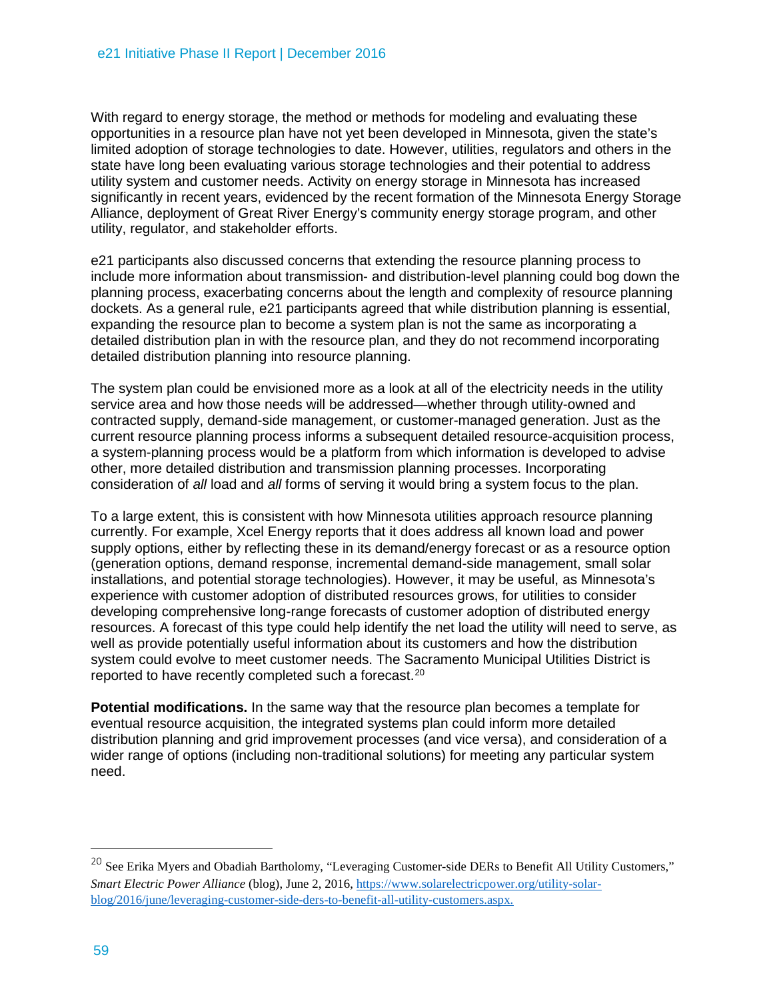With regard to energy storage, the method or methods for modeling and evaluating these opportunities in a resource plan have not yet been developed in Minnesota, given the state's limited adoption of storage technologies to date. However, utilities, regulators and others in the state have long been evaluating various storage technologies and their potential to address utility system and customer needs. Activity on energy storage in Minnesota has increased significantly in recent years, evidenced by the recent formation of the Minnesota Energy Storage Alliance, deployment of Great River Energy's community energy storage program, and other utility, regulator, and stakeholder efforts.

e21 participants also discussed concerns that extending the resource planning process to include more information about transmission- and distribution-level planning could bog down the planning process, exacerbating concerns about the length and complexity of resource planning dockets. As a general rule, e21 participants agreed that while distribution planning is essential, expanding the resource plan to become a system plan is not the same as incorporating a detailed distribution plan in with the resource plan, and they do not recommend incorporating detailed distribution planning into resource planning.

The system plan could be envisioned more as a look at all of the electricity needs in the utility service area and how those needs will be addressed—whether through utility-owned and contracted supply, demand-side management, or customer-managed generation. Just as the current resource planning process informs a subsequent detailed resource-acquisition process, a system-planning process would be a platform from which information is developed to advise other, more detailed distribution and transmission planning processes. Incorporating consideration of *all* load and *all* forms of serving it would bring a system focus to the plan.

To a large extent, this is consistent with how Minnesota utilities approach resource planning currently. For example, Xcel Energy reports that it does address all known load and power supply options, either by reflecting these in its demand/energy forecast or as a resource option (generation options, demand response, incremental demand-side management, small solar installations, and potential storage technologies). However, it may be useful, as Minnesota's experience with customer adoption of distributed resources grows, for utilities to consider developing comprehensive long-range forecasts of customer adoption of distributed energy resources. A forecast of this type could help identify the net load the utility will need to serve, as well as provide potentially useful information about its customers and how the distribution system could evolve to meet customer needs. The Sacramento Municipal Utilities District is reported to have recently completed such a forecast.[20](#page-12-0)

**Potential modifications.** In the same way that the resource plan becomes a template for eventual resource acquisition, the integrated systems plan could inform more detailed distribution planning and grid improvement processes (and vice versa), and consideration of a wider range of options (including non-traditional solutions) for meeting any particular system need.

 $\overline{a}$ 

<span id="page-12-0"></span><sup>&</sup>lt;sup>20</sup> See Erika Mvers and Obadiah Bartholomy, "Leveraging Customer-side DERs to Benefit All Utility Customers," *Smart Electric Power Alliance* (blog), June 2, 2016, [https://www.solarelectricpower.org/utility-solar](https://www.solarelectricpower.org/utility-solar-blog/2016/june/leveraging-customer-side-ders-to-benefit-all-utility-customers.aspx)[blog/2016/june/leveraging-customer-side-ders-to-benefit-all-utility-customers.aspx.](https://www.solarelectricpower.org/utility-solar-blog/2016/june/leveraging-customer-side-ders-to-benefit-all-utility-customers.aspx)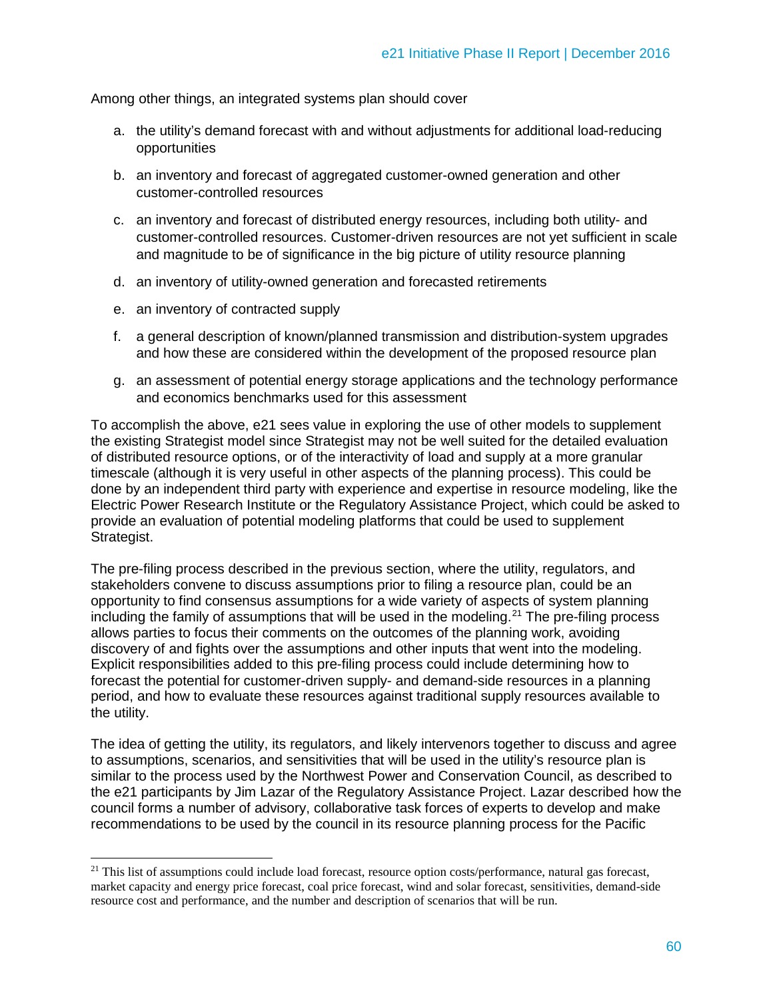Among other things, an integrated systems plan should cover

- a. the utility's demand forecast with and without adjustments for additional load-reducing opportunities
- b. an inventory and forecast of aggregated customer-owned generation and other customer-controlled resources
- c. an inventory and forecast of distributed energy resources, including both utility- and customer-controlled resources. Customer-driven resources are not yet sufficient in scale and magnitude to be of significance in the big picture of utility resource planning
- d. an inventory of utility-owned generation and forecasted retirements
- e. an inventory of contracted supply
- f. a general description of known/planned transmission and distribution-system upgrades and how these are considered within the development of the proposed resource plan
- g. an assessment of potential energy storage applications and the technology performance and economics benchmarks used for this assessment

To accomplish the above, e21 sees value in exploring the use of other models to supplement the existing Strategist model since Strategist may not be well suited for the detailed evaluation of distributed resource options, or of the interactivity of load and supply at a more granular timescale (although it is very useful in other aspects of the planning process). This could be done by an independent third party with experience and expertise in resource modeling, like the Electric Power Research Institute or the Regulatory Assistance Project, which could be asked to provide an evaluation of potential modeling platforms that could be used to supplement Strategist.

The pre-filing process described in the previous section, where the utility, regulators, and stakeholders convene to discuss assumptions prior to filing a resource plan, could be an opportunity to find consensus assumptions for a wide variety of aspects of system planning including the family of assumptions that will be used in the modeling.<sup>[21](#page-13-0)</sup> The pre-filing process allows parties to focus their comments on the outcomes of the planning work, avoiding discovery of and fights over the assumptions and other inputs that went into the modeling. Explicit responsibilities added to this pre-filing process could include determining how to forecast the potential for customer-driven supply- and demand-side resources in a planning period, and how to evaluate these resources against traditional supply resources available to the utility.

The idea of getting the utility, its regulators, and likely intervenors together to discuss and agree to assumptions, scenarios, and sensitivities that will be used in the utility's resource plan is similar to the process used by the Northwest Power and Conservation Council, as described to the e21 participants by Jim Lazar of the Regulatory Assistance Project. Lazar described how the council forms a number of advisory, collaborative task forces of experts to develop and make recommendations to be used by the council in its resource planning process for the Pacific

<span id="page-13-0"></span> $\overline{a}$ <sup>21</sup> This list of assumptions could include load forecast, resource option costs/performance, natural gas forecast, market capacity and energy price forecast, coal price forecast, wind and solar forecast, sensitivities, demand-side resource cost and performance, and the number and description of scenarios that will be run.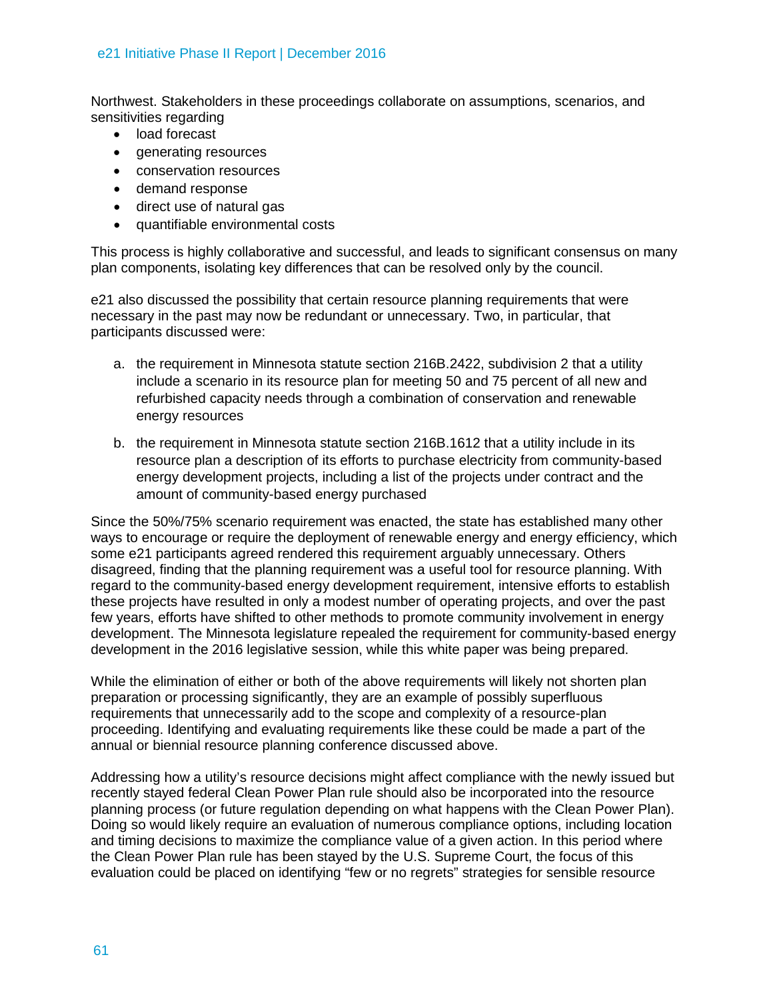Northwest. Stakeholders in these proceedings collaborate on assumptions, scenarios, and sensitivities regarding

- load forecast
- generating resources
- conservation resources
- demand response
- direct use of natural gas
- quantifiable environmental costs

This process is highly collaborative and successful, and leads to significant consensus on many plan components, isolating key differences that can be resolved only by the council.

e21 also discussed the possibility that certain resource planning requirements that were necessary in the past may now be redundant or unnecessary. Two, in particular, that participants discussed were:

- a. the requirement in Minnesota statute section 216B.2422, subdivision 2 that a utility include a scenario in its resource plan for meeting 50 and 75 percent of all new and refurbished capacity needs through a combination of conservation and renewable energy resources
- b. the requirement in Minnesota statute section 216B.1612 that a utility include in its resource plan a description of its efforts to purchase electricity from community-based energy development projects, including a list of the projects under contract and the amount of community-based energy purchased

Since the 50%/75% scenario requirement was enacted, the state has established many other ways to encourage or require the deployment of renewable energy and energy efficiency, which some e21 participants agreed rendered this requirement arguably unnecessary. Others disagreed, finding that the planning requirement was a useful tool for resource planning. With regard to the community-based energy development requirement, intensive efforts to establish these projects have resulted in only a modest number of operating projects, and over the past few years, efforts have shifted to other methods to promote community involvement in energy development. The Minnesota legislature repealed the requirement for community-based energy development in the 2016 legislative session, while this white paper was being prepared.

While the elimination of either or both of the above requirements will likely not shorten plan preparation or processing significantly, they are an example of possibly superfluous requirements that unnecessarily add to the scope and complexity of a resource-plan proceeding. Identifying and evaluating requirements like these could be made a part of the annual or biennial resource planning conference discussed above.

Addressing how a utility's resource decisions might affect compliance with the newly issued but recently stayed federal Clean Power Plan rule should also be incorporated into the resource planning process (or future regulation depending on what happens with the Clean Power Plan). Doing so would likely require an evaluation of numerous compliance options, including location and timing decisions to maximize the compliance value of a given action. In this period where the Clean Power Plan rule has been stayed by the U.S. Supreme Court, the focus of this evaluation could be placed on identifying "few or no regrets" strategies for sensible resource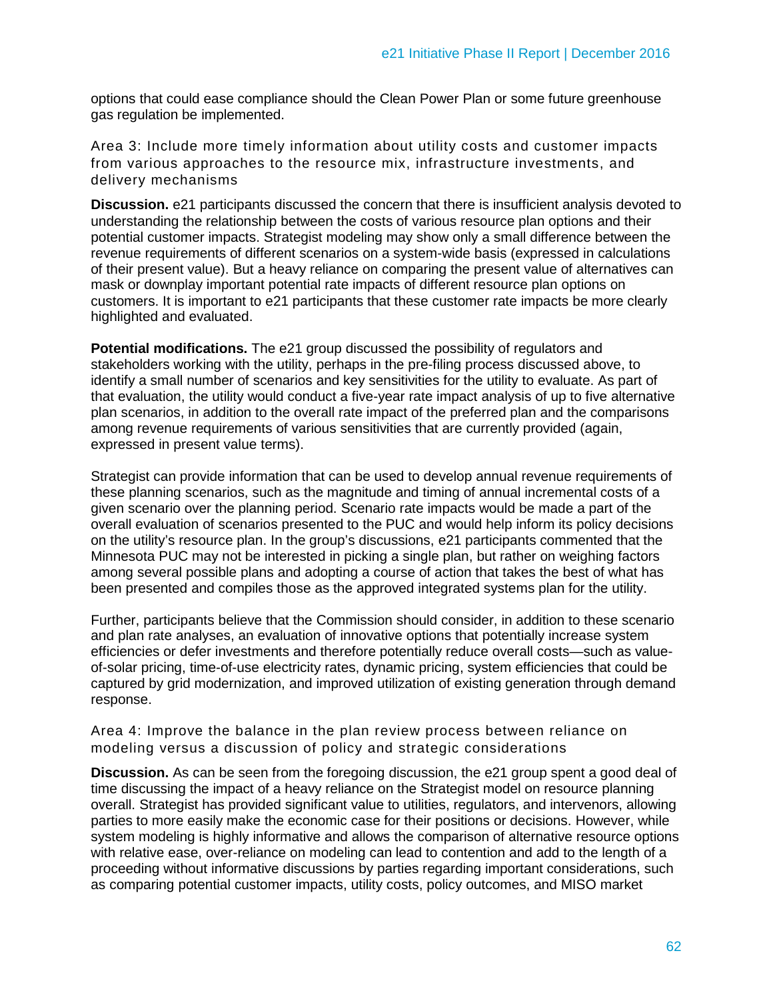options that could ease compliance should the Clean Power Plan or some future greenhouse gas regulation be implemented.

Area 3: Include more timely information about utility costs and customer impacts from various approaches to the resource mix, infrastructure investments, and delivery mechanisms

**Discussion.** e21 participants discussed the concern that there is insufficient analysis devoted to understanding the relationship between the costs of various resource plan options and their potential customer impacts. Strategist modeling may show only a small difference between the revenue requirements of different scenarios on a system-wide basis (expressed in calculations of their present value). But a heavy reliance on comparing the present value of alternatives can mask or downplay important potential rate impacts of different resource plan options on customers. It is important to e21 participants that these customer rate impacts be more clearly highlighted and evaluated.

**Potential modifications.** The e21 group discussed the possibility of regulators and stakeholders working with the utility, perhaps in the pre-filing process discussed above, to identify a small number of scenarios and key sensitivities for the utility to evaluate. As part of that evaluation, the utility would conduct a five-year rate impact analysis of up to five alternative plan scenarios, in addition to the overall rate impact of the preferred plan and the comparisons among revenue requirements of various sensitivities that are currently provided (again, expressed in present value terms).

Strategist can provide information that can be used to develop annual revenue requirements of these planning scenarios, such as the magnitude and timing of annual incremental costs of a given scenario over the planning period. Scenario rate impacts would be made a part of the overall evaluation of scenarios presented to the PUC and would help inform its policy decisions on the utility's resource plan. In the group's discussions, e21 participants commented that the Minnesota PUC may not be interested in picking a single plan, but rather on weighing factors among several possible plans and adopting a course of action that takes the best of what has been presented and compiles those as the approved integrated systems plan for the utility.

Further, participants believe that the Commission should consider, in addition to these scenario and plan rate analyses, an evaluation of innovative options that potentially increase system efficiencies or defer investments and therefore potentially reduce overall costs—such as valueof-solar pricing, time-of-use electricity rates, dynamic pricing, system efficiencies that could be captured by grid modernization, and improved utilization of existing generation through demand response.

Area 4: Improve the balance in the plan review process between reliance on modeling versus a discussion of policy and strategic considerations

**Discussion.** As can be seen from the foregoing discussion, the e21 group spent a good deal of time discussing the impact of a heavy reliance on the Strategist model on resource planning overall. Strategist has provided significant value to utilities, regulators, and intervenors, allowing parties to more easily make the economic case for their positions or decisions. However, while system modeling is highly informative and allows the comparison of alternative resource options with relative ease, over-reliance on modeling can lead to contention and add to the length of a proceeding without informative discussions by parties regarding important considerations, such as comparing potential customer impacts, utility costs, policy outcomes, and MISO market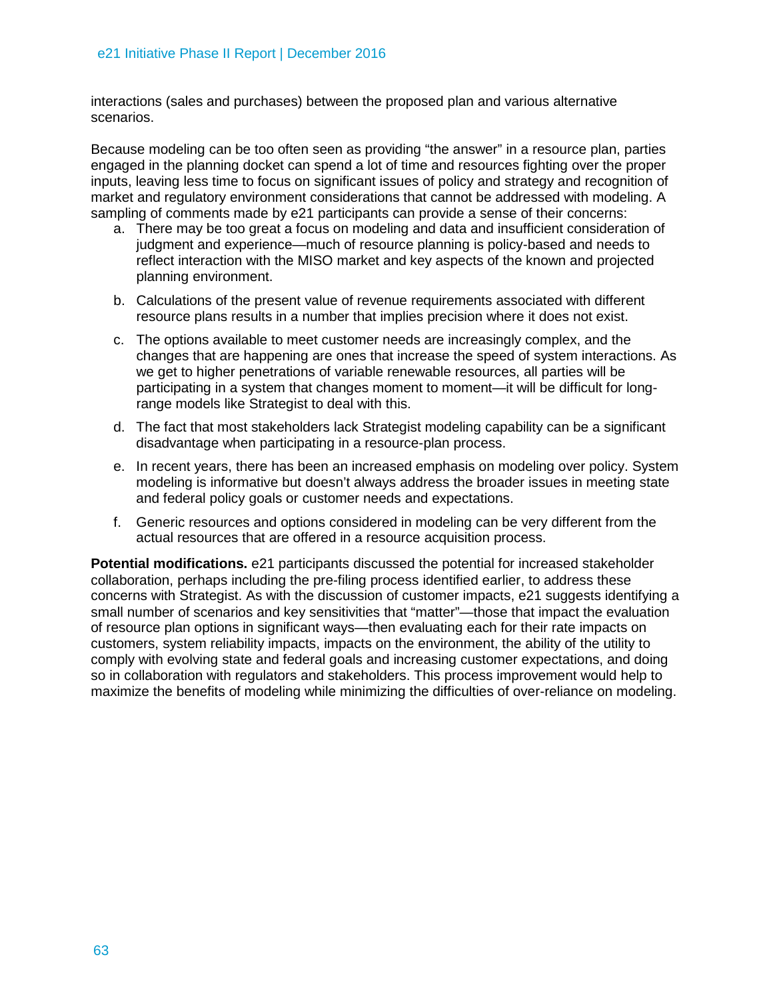interactions (sales and purchases) between the proposed plan and various alternative scenarios.

Because modeling can be too often seen as providing "the answer" in a resource plan, parties engaged in the planning docket can spend a lot of time and resources fighting over the proper inputs, leaving less time to focus on significant issues of policy and strategy and recognition of market and regulatory environment considerations that cannot be addressed with modeling. A sampling of comments made by e21 participants can provide a sense of their concerns:

- a. There may be too great a focus on modeling and data and insufficient consideration of judgment and experience—much of resource planning is policy-based and needs to reflect interaction with the MISO market and key aspects of the known and projected planning environment.
- b. Calculations of the present value of revenue requirements associated with different resource plans results in a number that implies precision where it does not exist.
- c. The options available to meet customer needs are increasingly complex, and the changes that are happening are ones that increase the speed of system interactions. As we get to higher penetrations of variable renewable resources, all parties will be participating in a system that changes moment to moment—it will be difficult for longrange models like Strategist to deal with this.
- d. The fact that most stakeholders lack Strategist modeling capability can be a significant disadvantage when participating in a resource-plan process.
- e. In recent years, there has been an increased emphasis on modeling over policy. System modeling is informative but doesn't always address the broader issues in meeting state and federal policy goals or customer needs and expectations.
- f. Generic resources and options considered in modeling can be very different from the actual resources that are offered in a resource acquisition process.

**Potential modifications.** e21 participants discussed the potential for increased stakeholder collaboration, perhaps including the pre-filing process identified earlier, to address these concerns with Strategist. As with the discussion of customer impacts, e21 suggests identifying a small number of scenarios and key sensitivities that "matter"—those that impact the evaluation of resource plan options in significant ways—then evaluating each for their rate impacts on customers, system reliability impacts, impacts on the environment, the ability of the utility to comply with evolving state and federal goals and increasing customer expectations, and doing so in collaboration with regulators and stakeholders. This process improvement would help to maximize the benefits of modeling while minimizing the difficulties of over-reliance on modeling.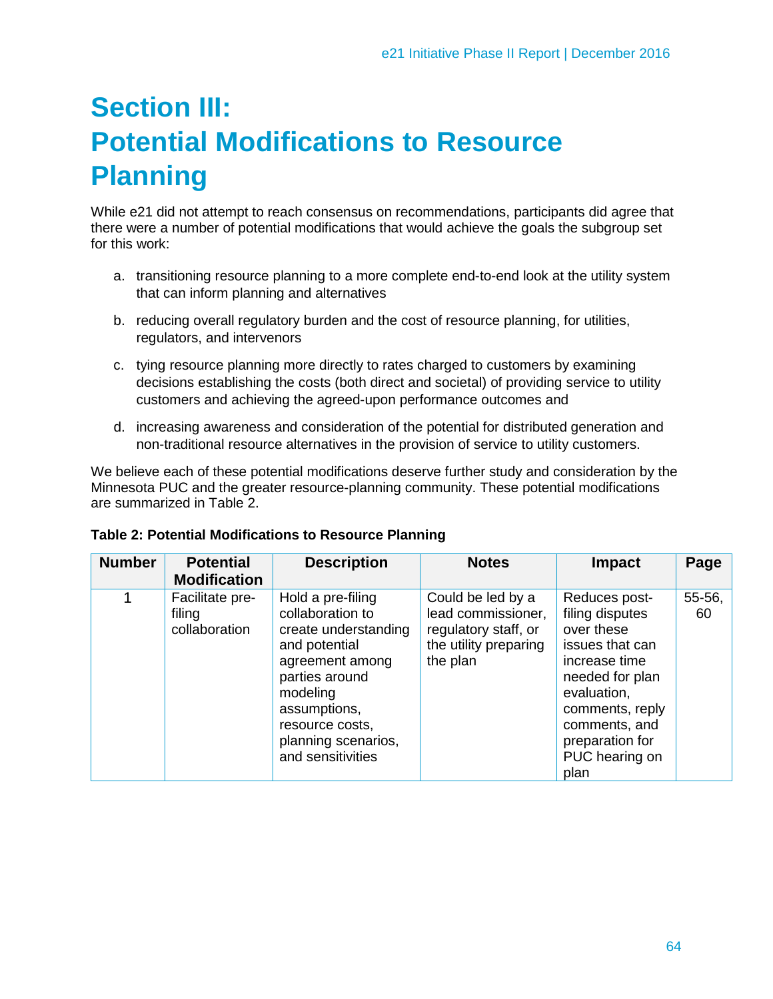## **Section III: Potential Modifications to Resource Planning**

While e21 did not attempt to reach consensus on recommendations, participants did agree that there were a number of potential modifications that would achieve the goals the subgroup set for this work:

- a. transitioning resource planning to a more complete end-to-end look at the utility system that can inform planning and alternatives
- b. reducing overall regulatory burden and the cost of resource planning, for utilities, regulators, and intervenors
- c. tying resource planning more directly to rates charged to customers by examining decisions establishing the costs (both direct and societal) of providing service to utility customers and achieving the agreed-upon performance outcomes and
- d. increasing awareness and consideration of the potential for distributed generation and non-traditional resource alternatives in the provision of service to utility customers.

We believe each of these potential modifications deserve further study and consideration by the Minnesota PUC and the greater resource-planning community. These potential modifications are summarized in Table 2.

| <b>Number</b> | <b>Potential</b><br><b>Modification</b>    | <b>Description</b>                                                                                                                                                                                             | <b>Notes</b>                                                                                         | <b>Impact</b>                                                                                                                                                                                         | Page         |
|---------------|--------------------------------------------|----------------------------------------------------------------------------------------------------------------------------------------------------------------------------------------------------------------|------------------------------------------------------------------------------------------------------|-------------------------------------------------------------------------------------------------------------------------------------------------------------------------------------------------------|--------------|
|               | Facilitate pre-<br>filing<br>collaboration | Hold a pre-filing<br>collaboration to<br>create understanding<br>and potential<br>agreement among<br>parties around<br>modeling<br>assumptions,<br>resource costs,<br>planning scenarios,<br>and sensitivities | Could be led by a<br>lead commissioner,<br>regulatory staff, or<br>the utility preparing<br>the plan | Reduces post-<br>filing disputes<br>over these<br>issues that can<br>increase time<br>needed for plan<br>evaluation,<br>comments, reply<br>comments, and<br>preparation for<br>PUC hearing on<br>plan | 55-56,<br>60 |

#### **Table 2: Potential Modifications to Resource Planning**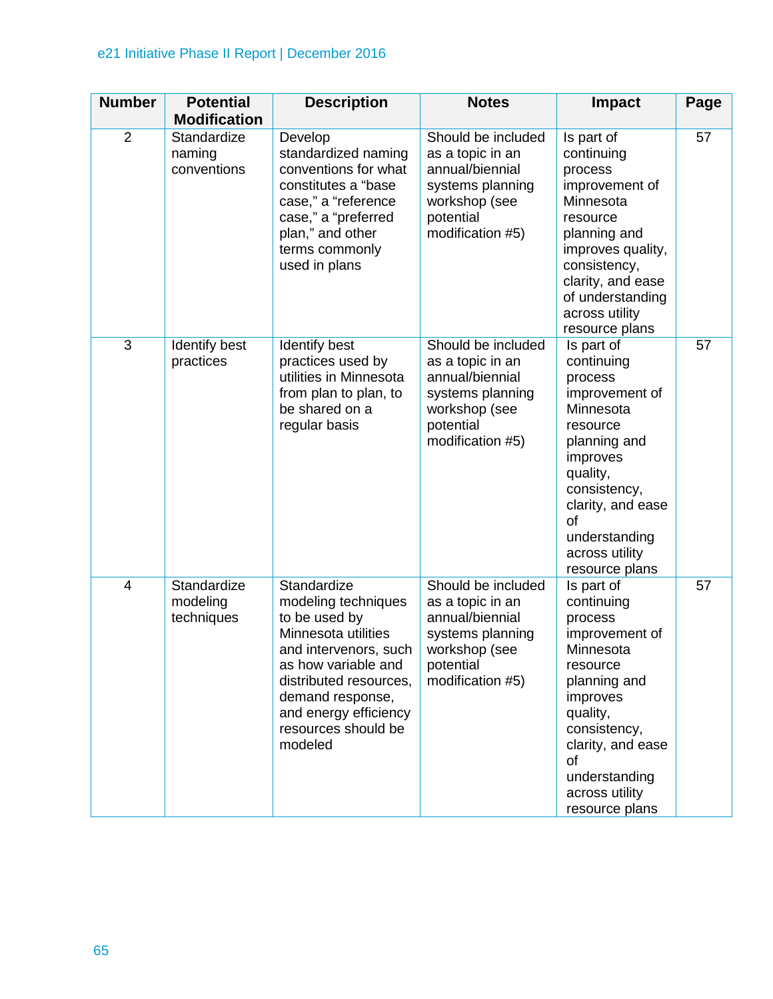### e21 Initiative Phase II Report | December 2016

| <b>Number</b>  | <b>Potential</b>                      | <b>Description</b>                                                                                                                                                                                                                  | <b>Notes</b>                                                                                                                    | <b>Impact</b>                                                                                                                                                                                                          | Page |
|----------------|---------------------------------------|-------------------------------------------------------------------------------------------------------------------------------------------------------------------------------------------------------------------------------------|---------------------------------------------------------------------------------------------------------------------------------|------------------------------------------------------------------------------------------------------------------------------------------------------------------------------------------------------------------------|------|
|                | <b>Modification</b>                   |                                                                                                                                                                                                                                     |                                                                                                                                 |                                                                                                                                                                                                                        |      |
| $\overline{2}$ | Standardize<br>naming<br>conventions  | Develop<br>standardized naming<br>conventions for what<br>constitutes a "base<br>case," a "reference<br>case," a "preferred<br>plan," and other<br>terms commonly<br>used in plans                                                  | Should be included<br>as a topic in an<br>annual/biennial<br>systems planning<br>workshop (see<br>potential<br>modification #5) | Is part of<br>continuing<br>process<br>improvement of<br>Minnesota<br>resource<br>planning and<br>improves quality,<br>consistency,<br>clarity, and ease<br>of understanding<br>across utility<br>resource plans       | 57   |
| $\overline{3}$ | Identify best<br>practices            | Identify best<br>practices used by<br>utilities in Minnesota<br>from plan to plan, to<br>be shared on a<br>regular basis                                                                                                            | Should be included<br>as a topic in an<br>annual/biennial<br>systems planning<br>workshop (see<br>potential<br>modification #5) | Is part of<br>continuing<br>process<br>improvement of<br>Minnesota<br>resource<br>planning and<br>improves<br>quality,<br>consistency,<br>clarity, and ease<br>of<br>understanding<br>across utility<br>resource plans | 57   |
| 4              | Standardize<br>modeling<br>techniques | Standardize<br>modeling techniques<br>to be used by<br>Minnesota utilities<br>and intervenors, such<br>as how variable and<br>distributed resources,<br>demand response,<br>and energy efficiency<br>resources should be<br>modeled | Should be included<br>as a topic in an<br>annual/biennial<br>systems planning<br>workshop (see<br>potential<br>modification #5) | Is part of<br>continuing<br>process<br>improvement of<br>Minnesota<br>resource<br>planning and<br>improves<br>quality,<br>consistency,<br>clarity, and ease<br>of<br>understanding<br>across utility<br>resource plans | 57   |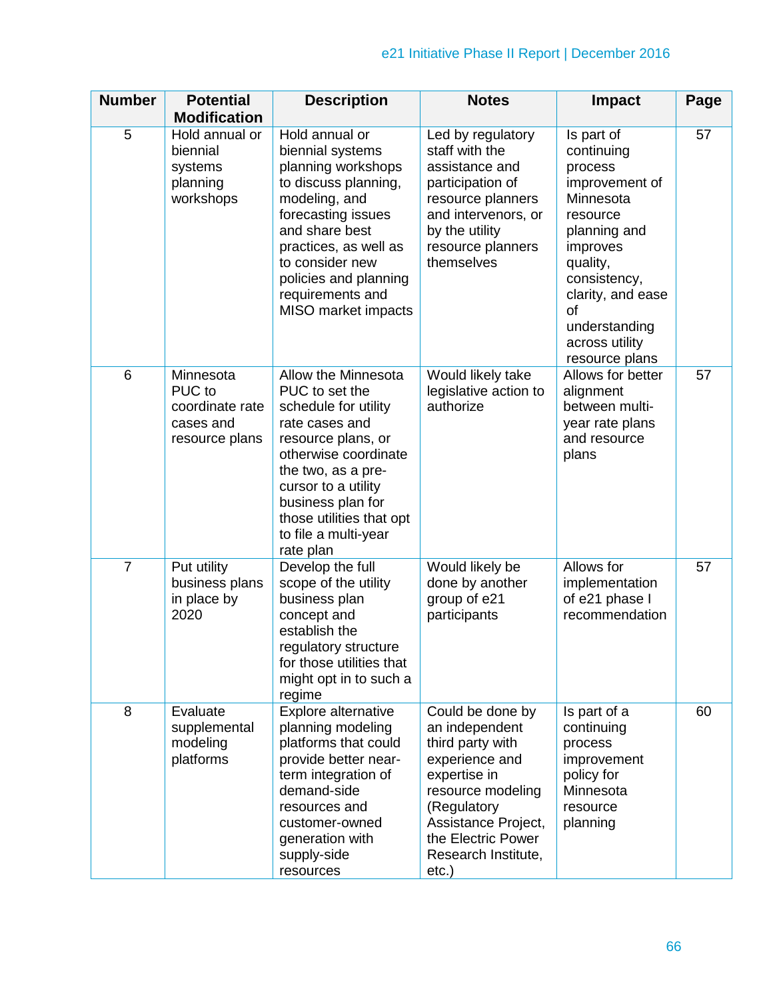| <b>Number</b>  | <b>Potential</b><br><b>Modification</b>                               | <b>Description</b>                                                                                                                                                                                                                                               | <b>Notes</b>                                                                                                                                                                                                 | <b>Impact</b>                                                                                                                                                                                                                 | Page |
|----------------|-----------------------------------------------------------------------|------------------------------------------------------------------------------------------------------------------------------------------------------------------------------------------------------------------------------------------------------------------|--------------------------------------------------------------------------------------------------------------------------------------------------------------------------------------------------------------|-------------------------------------------------------------------------------------------------------------------------------------------------------------------------------------------------------------------------------|------|
| 5              | Hold annual or<br>biennial<br>systems<br>planning<br>workshops        | Hold annual or<br>biennial systems<br>planning workshops<br>to discuss planning,<br>modeling, and<br>forecasting issues<br>and share best<br>practices, as well as<br>to consider new<br>policies and planning<br>requirements and<br>MISO market impacts        | Led by regulatory<br>staff with the<br>assistance and<br>participation of<br>resource planners<br>and intervenors, or<br>by the utility<br>resource planners<br>themselves                                   | Is part of<br>continuing<br>process<br>improvement of<br>Minnesota<br>resource<br>planning and<br>improves<br>quality,<br>consistency,<br>clarity, and ease<br><b>of</b><br>understanding<br>across utility<br>resource plans | 57   |
| 6              | Minnesota<br>PUC to<br>coordinate rate<br>cases and<br>resource plans | Allow the Minnesota<br>PUC to set the<br>schedule for utility<br>rate cases and<br>resource plans, or<br>otherwise coordinate<br>the two, as a pre-<br>cursor to a utility<br>business plan for<br>those utilities that opt<br>to file a multi-year<br>rate plan | Would likely take<br>legislative action to<br>authorize                                                                                                                                                      | Allows for better<br>alignment<br>between multi-<br>year rate plans<br>and resource<br>plans                                                                                                                                  | 57   |
| $\overline{7}$ | Put utility<br>business plans<br>in place by<br>2020                  | Develop the full<br>scope of the utility<br>business plan<br>concept and<br>establish the<br>regulatory structure<br>for those utilities that<br>might opt in to such a<br>regime                                                                                | Would likely be<br>done by another<br>group of e21<br>participants                                                                                                                                           | Allows for<br>implementation<br>of e21 phase I<br>recommendation                                                                                                                                                              | 57   |
| 8              | Evaluate<br>supplemental<br>modeling<br>platforms                     | Explore alternative<br>planning modeling<br>platforms that could<br>provide better near-<br>term integration of<br>demand-side<br>resources and<br>customer-owned<br>generation with<br>supply-side<br>resources                                                 | Could be done by<br>an independent<br>third party with<br>experience and<br>expertise in<br>resource modeling<br>(Regulatory<br>Assistance Project,<br>the Electric Power<br>Research Institute,<br>$etc.$ ) | Is part of a<br>continuing<br>process<br>improvement<br>policy for<br>Minnesota<br>resource<br>planning                                                                                                                       | 60   |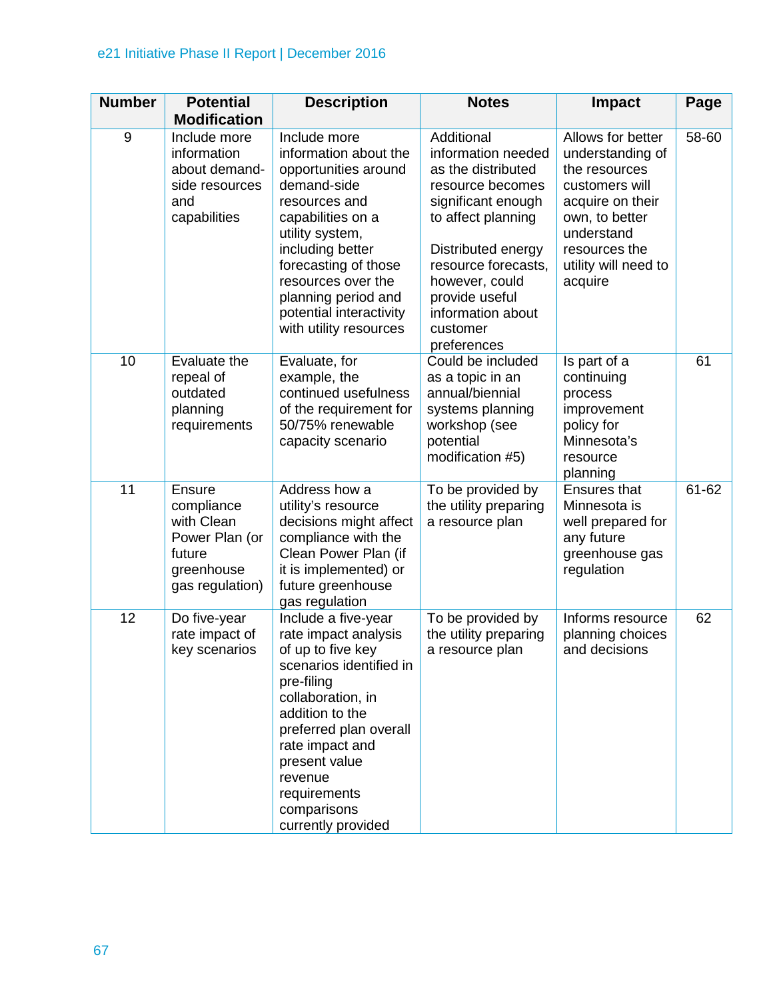### e21 Initiative Phase II Report | December 2016

| <b>Number</b> | <b>Potential</b>                                                                                             | <b>Description</b>                                                                                                                                                                                                                                                                  | <b>Notes</b>                                                                                                                                                                                                                                            | <b>Impact</b>                                                                                                                                                                    | Page      |
|---------------|--------------------------------------------------------------------------------------------------------------|-------------------------------------------------------------------------------------------------------------------------------------------------------------------------------------------------------------------------------------------------------------------------------------|---------------------------------------------------------------------------------------------------------------------------------------------------------------------------------------------------------------------------------------------------------|----------------------------------------------------------------------------------------------------------------------------------------------------------------------------------|-----------|
| $9\,$         | <b>Modification</b><br>Include more<br>information<br>about demand-<br>side resources<br>and<br>capabilities | Include more<br>information about the<br>opportunities around<br>demand-side<br>resources and<br>capabilities on a<br>utility system,<br>including better<br>forecasting of those<br>resources over the<br>planning period and<br>potential interactivity<br>with utility resources | Additional<br>information needed<br>as the distributed<br>resource becomes<br>significant enough<br>to affect planning<br>Distributed energy<br>resource forecasts,<br>however, could<br>provide useful<br>information about<br>customer<br>preferences | Allows for better<br>understanding of<br>the resources<br>customers will<br>acquire on their<br>own, to better<br>understand<br>resources the<br>utility will need to<br>acquire | 58-60     |
| 10            | Evaluate the<br>repeal of<br>outdated<br>planning<br>requirements                                            | Evaluate, for<br>example, the<br>continued usefulness<br>of the requirement for<br>50/75% renewable<br>capacity scenario                                                                                                                                                            | Could be included<br>as a topic in an<br>annual/biennial<br>systems planning<br>workshop (see<br>potential<br>modification #5)                                                                                                                          | Is part of a<br>continuing<br>process<br>improvement<br>policy for<br>Minnesota's<br>resource<br>planning                                                                        | 61        |
| 11            | Ensure<br>compliance<br>with Clean<br>Power Plan (or<br>future<br>greenhouse<br>gas regulation)              | Address how a<br>utility's resource<br>decisions might affect<br>compliance with the<br>Clean Power Plan (if<br>it is implemented) or<br>future greenhouse<br>gas regulation                                                                                                        | To be provided by<br>the utility preparing<br>a resource plan                                                                                                                                                                                           | <b>Ensures that</b><br>Minnesota is<br>well prepared for<br>any future<br>greenhouse gas<br>regulation                                                                           | $61 - 62$ |
| 12            | Do five-year<br>rate impact of<br>key scenarios                                                              | Include a five-year<br>rate impact analysis<br>of up to five key<br>scenarios identified in<br>pre-filing<br>collaboration, in<br>addition to the<br>preferred plan overall<br>rate impact and<br>present value<br>revenue<br>requirements<br>comparisons<br>currently provided     | To be provided by<br>the utility preparing<br>a resource plan                                                                                                                                                                                           | Informs resource<br>planning choices<br>and decisions                                                                                                                            | 62        |